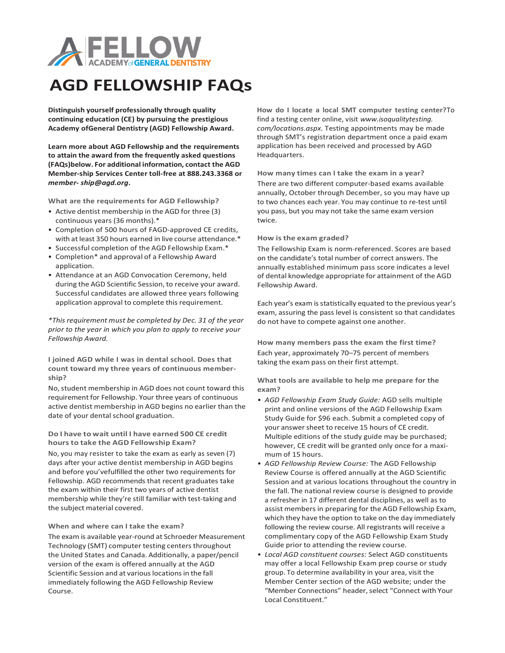

## **AGD FELLOWSHIP FAQs**

**Distinguish yourself professionally through quality continuing education (CE) by pursuing the prestigious Academy ofGeneral Dentistry (AGD) Fellowship Award.**

**Learn more about AGD Fellowship and the requirements to attain the award from the frequently asked questions (FAQs)below. For additional information, contact the AGD Member-ship Services Center toll-free at 888.243.3368 or**  *member- [ship@agd.org](mailto:ship@agd.org)***.**

**What are the requirements for AGD Fellowship?**

- Active dentist membership in the AGD for three (3) continuous years (36 months).\*
- Completion of 500 hours of FAGD-approved CE credits, with at least 350 hours earned in live course attendance.\*
- Successful completion of the AGD Fellowship Exam.\*
- Completion\* and approval of a Fellowship Award application.
- Attendance at an AGD Convocation Ceremony, held during the AGD Scientific Session, to receive your award. Successful candidates are allowed three years following application approval to complete this requirement.

*\*This requirement must be completed by Dec. 31 of the year prior to the year in which you plan to apply to receive your Fellowship Award.*

**I joined AGD while I was in dental school. Does that count toward my three years of continuous membership?**

No, student membership in AGD does not count toward this requirement for Fellowship. Your three years of continuous active dentist membership in AGD begins no earlier than the date of your dental school graduation.

**Do I have to wait until I have earned 500 CE credit hoursto take the AGD Fellowship Exam?**

No, you may resister to take the exam as early as seven (7) days after your active dentist membership in AGD begins and before you'vefulfilled the other two requirements for Fellowship. AGD recommends that recent graduates take the exam within their first two years of active dentist membership while they're still familiar with test-taking and the subject material covered.

## **When and where can I take the exam?**

The exam is available year-round at Schroeder Measurement Technology (SMT) computer testing centers throughout the United States and Canada. Additionally, a paper/pencil version of the exam is offered annually at the AGD Scientific Session and at various locations in the fall immediately following the AGD Fellowship Review Course.

**How do I locate a local SMT computer testing center?**To find a testing center online, visit *www.isoqualitytesting. com/locations.aspx.* Testing appointments may be made through SMT's registration department once a paid exam application has been received and processed by AGD Headquarters.

**How many times can I take the exam in a year?** There are two different computer-based exams available annually, October through December, so you may have up to two chances each year. You may continue to re-test until you pass, but you may not take the same exam version twice.

## **How isthe exam graded?**

The Fellowship Exam is norm-referenced. Scores are based on the candidate's total number of correct answers. The annually established minimum pass score indicates a level of dental knowledge appropriate for attainment of the AGD Fellowship Award.

Each year's exam is statistically equated to the previous year's exam, assuring the pass level is consistent so that candidates do not have to compete against one another.

**How many members pass the exam the first time?** Each year, approximately 70–75 percent of members taking the exam pass on their first attempt.

**What tools are available to help me prepare for the exam?**

- *• AGD Fellowship Exam Study Guide:* AGD sells multiple print and online versions of the AGD Fellowship Exam Study Guide for \$96 each. Submit a completed copy of your answer sheet to receive 15 hours of CE credit. Multiple editions of the study guide may be purchased; however, CE credit will be granted only once for a maximum of 15 hours.
- *• AGD Fellowship Review Course:* The AGD Fellowship Review Course is offered annually at the AGD Scientific Session and at various locations throughout the country in the fall. The national review course is designed to provide a refresher in 17 different dental disciplines, as well as to assist members in preparing for the AGD Fellowship Exam, which they have the option to take on the day immediately following the review course. All registrants will receive a complimentary copy of the AGD Fellowship Exam Study Guide prior to attending the review course.
- *• Local AGD constituent courses:* Select AGD constituents may offer a local Fellowship Exam prep course or study group. To determine availability in your area, visit the Member Center section of the AGD website; under the "Member Connections" header, select "Connect with Your Local Constituent."